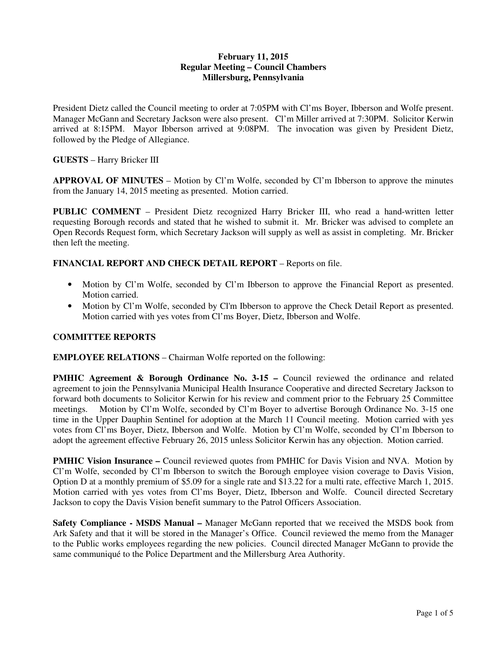# **February 11, 2015 Regular Meeting – Council Chambers Millersburg, Pennsylvania**

President Dietz called the Council meeting to order at 7:05PM with Cl'ms Boyer, Ibberson and Wolfe present. Manager McGann and Secretary Jackson were also present. Cl'm Miller arrived at 7:30PM. Solicitor Kerwin arrived at 8:15PM. Mayor Ibberson arrived at 9:08PM. The invocation was given by President Dietz, followed by the Pledge of Allegiance.

# **GUESTS** – Harry Bricker III

**APPROVAL OF MINUTES** – Motion by Cl'm Wolfe, seconded by Cl'm Ibberson to approve the minutes from the January 14, 2015 meeting as presented. Motion carried.

**PUBLIC COMMENT** – President Dietz recognized Harry Bricker III, who read a hand-written letter requesting Borough records and stated that he wished to submit it. Mr. Bricker was advised to complete an Open Records Request form, which Secretary Jackson will supply as well as assist in completing. Mr. Bricker then left the meeting.

# **FINANCIAL REPORT AND CHECK DETAIL REPORT** – Reports on file.

- Motion by Cl'm Wolfe, seconded by Cl'm Ibberson to approve the Financial Report as presented. Motion carried.
- Motion by Cl'm Wolfe, seconded by Cl'm Ibberson to approve the Check Detail Report as presented. Motion carried with yes votes from Cl'ms Boyer, Dietz, Ibberson and Wolfe.

### **COMMITTEE REPORTS**

**EMPLOYEE RELATIONS** – Chairman Wolfe reported on the following:

**PMHIC Agreement & Borough Ordinance No. 3-15 – Council reviewed the ordinance and related** agreement to join the Pennsylvania Municipal Health Insurance Cooperative and directed Secretary Jackson to forward both documents to Solicitor Kerwin for his review and comment prior to the February 25 Committee meetings. Motion by Cl'm Wolfe, seconded by Cl'm Boyer to advertise Borough Ordinance No. 3-15 one time in the Upper Dauphin Sentinel for adoption at the March 11 Council meeting. Motion carried with yes votes from Cl'ms Boyer, Dietz, Ibberson and Wolfe. Motion by Cl'm Wolfe, seconded by Cl'm Ibberson to adopt the agreement effective February 26, 2015 unless Solicitor Kerwin has any objection. Motion carried.

**PMHIC Vision Insurance –** Council reviewed quotes from PMHIC for Davis Vision and NVA. Motion by Cl'm Wolfe, seconded by Cl'm Ibberson to switch the Borough employee vision coverage to Davis Vision, Option D at a monthly premium of \$5.09 for a single rate and \$13.22 for a multi rate, effective March 1, 2015. Motion carried with yes votes from Cl'ms Boyer, Dietz, Ibberson and Wolfe. Council directed Secretary Jackson to copy the Davis Vision benefit summary to the Patrol Officers Association.

**Safety Compliance - MSDS Manual –** Manager McGann reported that we received the MSDS book from Ark Safety and that it will be stored in the Manager's Office. Council reviewed the memo from the Manager to the Public works employees regarding the new policies. Council directed Manager McGann to provide the same communiqué to the Police Department and the Millersburg Area Authority.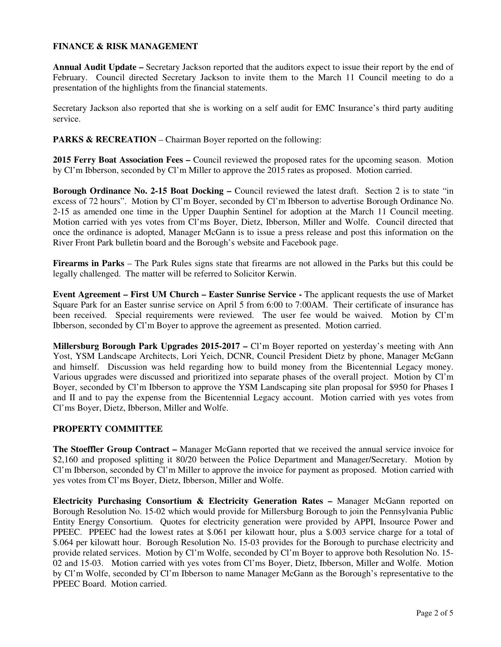# **FINANCE & RISK MANAGEMENT**

**Annual Audit Update –** Secretary Jackson reported that the auditors expect to issue their report by the end of February. Council directed Secretary Jackson to invite them to the March 11 Council meeting to do a presentation of the highlights from the financial statements.

Secretary Jackson also reported that she is working on a self audit for EMC Insurance's third party auditing service.

**PARKS & RECREATION – Chairman Boyer reported on the following:** 

**2015 Ferry Boat Association Fees –** Council reviewed the proposed rates for the upcoming season. Motion by Cl'm Ibberson, seconded by Cl'm Miller to approve the 2015 rates as proposed. Motion carried.

**Borough Ordinance No. 2-15 Boat Docking –** Council reviewed the latest draft. Section 2 is to state "in excess of 72 hours". Motion by Cl'm Boyer, seconded by Cl'm Ibberson to advertise Borough Ordinance No. 2-15 as amended one time in the Upper Dauphin Sentinel for adoption at the March 11 Council meeting. Motion carried with yes votes from Cl'ms Boyer, Dietz, Ibberson, Miller and Wolfe. Council directed that once the ordinance is adopted, Manager McGann is to issue a press release and post this information on the River Front Park bulletin board and the Borough's website and Facebook page.

**Firearms in Parks** – The Park Rules signs state that firearms are not allowed in the Parks but this could be legally challenged. The matter will be referred to Solicitor Kerwin.

**Event Agreement – First UM Church – Easter Sunrise Service -** The applicant requests the use of Market Square Park for an Easter sunrise service on April 5 from 6:00 to 7:00AM. Their certificate of insurance has been received. Special requirements were reviewed. The user fee would be waived. Motion by Cl'm Ibberson, seconded by Cl'm Boyer to approve the agreement as presented. Motion carried.

**Millersburg Borough Park Upgrades 2015-2017 –** Cl'm Boyer reported on yesterday's meeting with Ann Yost, YSM Landscape Architects, Lori Yeich, DCNR, Council President Dietz by phone, Manager McGann and himself. Discussion was held regarding how to build money from the Bicentennial Legacy money. Various upgrades were discussed and prioritized into separate phases of the overall project. Motion by Cl'm Boyer, seconded by Cl'm Ibberson to approve the YSM Landscaping site plan proposal for \$950 for Phases I and II and to pay the expense from the Bicentennial Legacy account. Motion carried with yes votes from Cl'ms Boyer, Dietz, Ibberson, Miller and Wolfe.

### **PROPERTY COMMITTEE**

**The Stoeffler Group Contract –** Manager McGann reported that we received the annual service invoice for \$2,160 and proposed splitting it 80/20 between the Police Department and Manager/Secretary. Motion by Cl'm Ibberson, seconded by Cl'm Miller to approve the invoice for payment as proposed. Motion carried with yes votes from Cl'ms Boyer, Dietz, Ibberson, Miller and Wolfe.

**Electricity Purchasing Consortium & Electricity Generation Rates –** Manager McGann reported on Borough Resolution No. 15-02 which would provide for Millersburg Borough to join the Pennsylvania Public Entity Energy Consortium. Quotes for electricity generation were provided by APPI, Insource Power and PPEEC. PPEEC had the lowest rates at \$.061 per kilowatt hour, plus a \$.003 service charge for a total of \$.064 per kilowatt hour. Borough Resolution No. 15-03 provides for the Borough to purchase electricity and provide related services. Motion by Cl'm Wolfe, seconded by Cl'm Boyer to approve both Resolution No. 15- 02 and 15-03. Motion carried with yes votes from Cl'ms Boyer, Dietz, Ibberson, Miller and Wolfe. Motion by Cl'm Wolfe, seconded by Cl'm Ibberson to name Manager McGann as the Borough's representative to the PPEEC Board. Motion carried.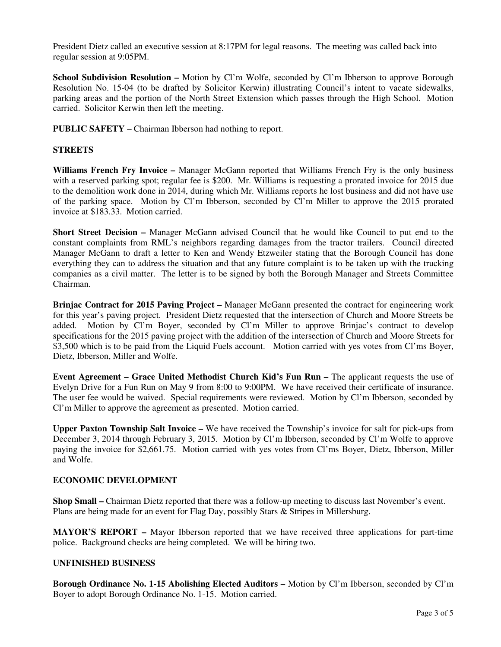President Dietz called an executive session at 8:17PM for legal reasons. The meeting was called back into regular session at 9:05PM.

**School Subdivision Resolution –** Motion by Cl'm Wolfe, seconded by Cl'm Ibberson to approve Borough Resolution No. 15-04 (to be drafted by Solicitor Kerwin) illustrating Council's intent to vacate sidewalks, parking areas and the portion of the North Street Extension which passes through the High School. Motion carried. Solicitor Kerwin then left the meeting.

**PUBLIC SAFETY** – Chairman Ibberson had nothing to report.

# **STREETS**

**Williams French Fry Invoice –** Manager McGann reported that Williams French Fry is the only business with a reserved parking spot; regular fee is \$200. Mr. Williams is requesting a prorated invoice for 2015 due to the demolition work done in 2014, during which Mr. Williams reports he lost business and did not have use of the parking space. Motion by Cl'm Ibberson, seconded by Cl'm Miller to approve the 2015 prorated invoice at \$183.33. Motion carried.

**Short Street Decision –** Manager McGann advised Council that he would like Council to put end to the constant complaints from RML's neighbors regarding damages from the tractor trailers. Council directed Manager McGann to draft a letter to Ken and Wendy Etzweiler stating that the Borough Council has done everything they can to address the situation and that any future complaint is to be taken up with the trucking companies as a civil matter. The letter is to be signed by both the Borough Manager and Streets Committee Chairman.

**Brinjac Contract for 2015 Paving Project –** Manager McGann presented the contract for engineering work for this year's paving project. President Dietz requested that the intersection of Church and Moore Streets be added. Motion by Cl'm Boyer, seconded by Cl'm Miller to approve Brinjac's contract to develop specifications for the 2015 paving project with the addition of the intersection of Church and Moore Streets for \$3,500 which is to be paid from the Liquid Fuels account. Motion carried with yes votes from Cl'ms Boyer, Dietz, Ibberson, Miller and Wolfe.

**Event Agreement – Grace United Methodist Church Kid's Fun Run –** The applicant requests the use of Evelyn Drive for a Fun Run on May 9 from 8:00 to 9:00PM. We have received their certificate of insurance. The user fee would be waived. Special requirements were reviewed. Motion by Cl'm Ibberson, seconded by Cl'm Miller to approve the agreement as presented. Motion carried.

**Upper Paxton Township Salt Invoice –** We have received the Township's invoice for salt for pick-ups from December 3, 2014 through February 3, 2015. Motion by Cl'm Ibberson, seconded by Cl'm Wolfe to approve paying the invoice for \$2,661.75. Motion carried with yes votes from Cl'ms Boyer, Dietz, Ibberson, Miller and Wolfe.

### **ECONOMIC DEVELOPMENT**

**Shop Small –** Chairman Dietz reported that there was a follow-up meeting to discuss last November's event. Plans are being made for an event for Flag Day, possibly Stars & Stripes in Millersburg.

**MAYOR'S REPORT –** Mayor Ibberson reported that we have received three applications for part-time police. Background checks are being completed. We will be hiring two.

# **UNFINISHED BUSINESS**

**Borough Ordinance No. 1-15 Abolishing Elected Auditors –** Motion by Cl'm Ibberson, seconded by Cl'm Boyer to adopt Borough Ordinance No. 1-15. Motion carried.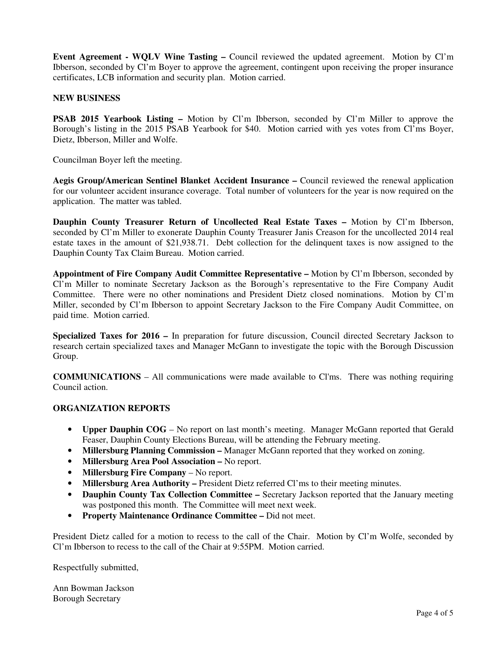**Event Agreement - WQLV Wine Tasting –** Council reviewed the updated agreement. Motion by Cl'm Ibberson, seconded by Cl'm Boyer to approve the agreement, contingent upon receiving the proper insurance certificates, LCB information and security plan. Motion carried.

### **NEW BUSINESS**

**PSAB 2015 Yearbook Listing –** Motion by Cl'm Ibberson, seconded by Cl'm Miller to approve the Borough's listing in the 2015 PSAB Yearbook for \$40. Motion carried with yes votes from Cl'ms Boyer, Dietz, Ibberson, Miller and Wolfe.

Councilman Boyer left the meeting.

**Aegis Group/American Sentinel Blanket Accident Insurance –** Council reviewed the renewal application for our volunteer accident insurance coverage. Total number of volunteers for the year is now required on the application. The matter was tabled.

**Dauphin County Treasurer Return of Uncollected Real Estate Taxes –** Motion by Cl'm Ibberson, seconded by Cl'm Miller to exonerate Dauphin County Treasurer Janis Creason for the uncollected 2014 real estate taxes in the amount of \$21,938.71. Debt collection for the delinquent taxes is now assigned to the Dauphin County Tax Claim Bureau. Motion carried.

**Appointment of Fire Company Audit Committee Representative –** Motion by Cl'm Ibberson, seconded by Cl'm Miller to nominate Secretary Jackson as the Borough's representative to the Fire Company Audit Committee. There were no other nominations and President Dietz closed nominations. Motion by Cl'm Miller, seconded by Cl'm Ibberson to appoint Secretary Jackson to the Fire Company Audit Committee, on paid time. Motion carried.

**Specialized Taxes for 2016 –** In preparation for future discussion, Council directed Secretary Jackson to research certain specialized taxes and Manager McGann to investigate the topic with the Borough Discussion Group.

**COMMUNICATIONS** – All communications were made available to Cl'ms. There was nothing requiring Council action.

### **ORGANIZATION REPORTS**

- **Upper Dauphin COG** No report on last month's meeting. Manager McGann reported that Gerald Feaser, Dauphin County Elections Bureau, will be attending the February meeting.
- **Millersburg Planning Commission** Manager McGann reported that they worked on zoning.
- **Millersburg Area Pool Association** No report.
- **Millersburg Fire Company** No report.
- **Millersburg Area Authority President Dietz referred Cl'ms to their meeting minutes.**
- **Dauphin County Tax Collection Committee** Secretary Jackson reported that the January meeting was postponed this month. The Committee will meet next week.
- **Property Maintenance Ordinance Committee** Did not meet.

President Dietz called for a motion to recess to the call of the Chair. Motion by Cl'm Wolfe, seconded by Cl'm Ibberson to recess to the call of the Chair at 9:55PM. Motion carried.

Respectfully submitted,

Ann Bowman Jackson Borough Secretary